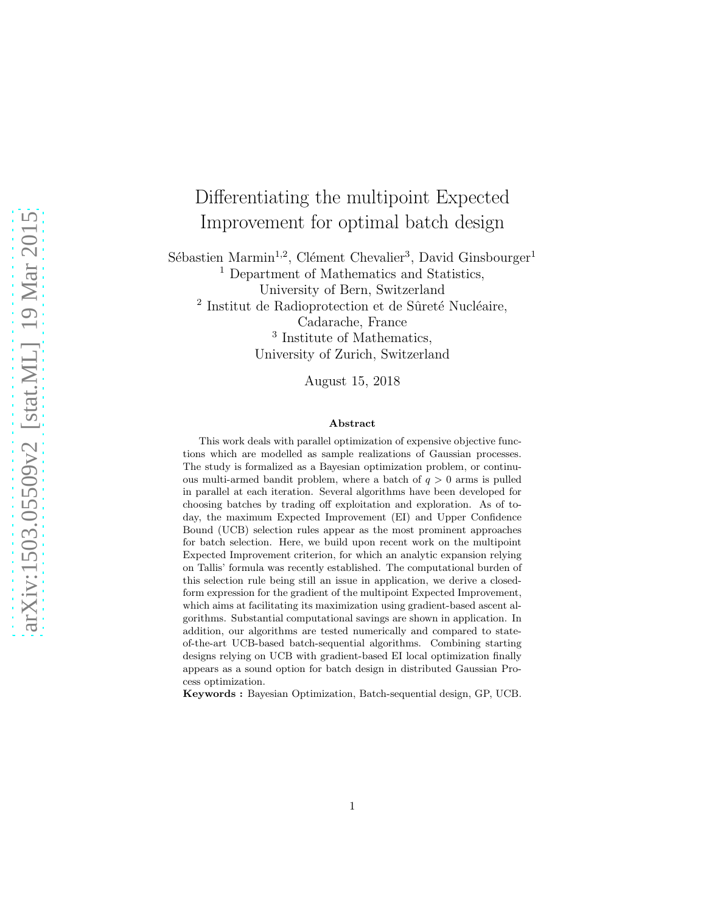# Differentiating the multipoint Expected Improvement for optimal batch design

Sébastien Marmin<sup>1,2</sup>, Clément Chevalier<sup>3</sup>, David Ginsbourger<sup>1</sup> <sup>1</sup> Department of Mathematics and Statistics, University of Bern, Switzerland  $^2$  Institut de Radioprotection et de Sûreté Nucléaire, Cadarache, France 3 Institute of Mathematics, University of Zurich, Switzerland

August 15, 2018

#### Abstract

This work deals with parallel optimization of expensive objective functions which are modelled as sample realizations of Gaussian processes. The study is formalized as a Bayesian optimization problem, or continuous multi-armed bandit problem, where a batch of  $q > 0$  arms is pulled in parallel at each iteration. Several algorithms have been developed for choosing batches by trading off exploitation and exploration. As of today, the maximum Expected Improvement (EI) and Upper Confidence Bound (UCB) selection rules appear as the most prominent approaches for batch selection. Here, we build upon recent work on the multipoint Expected Improvement criterion, for which an analytic expansion relying on Tallis' formula was recently established. The computational burden of this selection rule being still an issue in application, we derive a closedform expression for the gradient of the multipoint Expected Improvement, which aims at facilitating its maximization using gradient-based ascent algorithms. Substantial computational savings are shown in application. In addition, our algorithms are tested numerically and compared to stateof-the-art UCB-based batch-sequential algorithms. Combining starting designs relying on UCB with gradient-based EI local optimization finally appears as a sound option for batch design in distributed Gaussian Process optimization.

Keywords : Bayesian Optimization, Batch-sequential design, GP, UCB.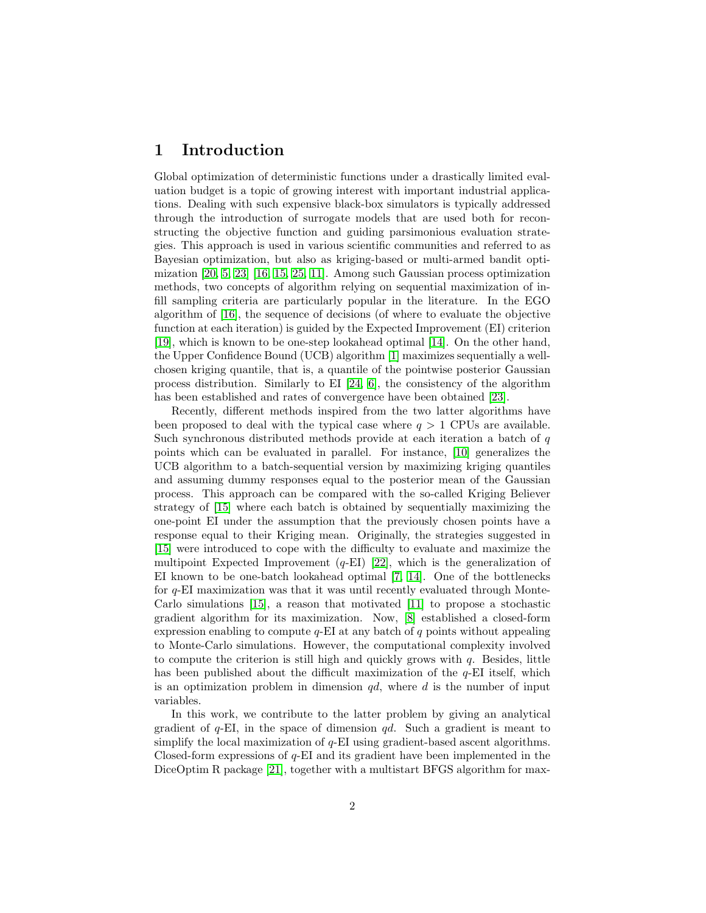## 1 Introduction

Global optimization of deterministic functions under a drastically limited evaluation budget is a topic of growing interest with important industrial applications. Dealing with such expensive black-box simulators is typically addressed through the introduction of surrogate models that are used both for reconstructing the objective function and guiding parsimonious evaluation strategies. This approach is used in various scientific communities and referred to as Bayesian optimization, but also as kriging-based or multi-armed bandit optimization [\[20,](#page-12-0) [5,](#page-11-0) [23\]](#page-12-1) [\[16,](#page-12-2) [15,](#page-12-3) [25,](#page-12-4) [11\]](#page-11-1). Among such Gaussian process optimization methods, two concepts of algorithm relying on sequential maximization of infill sampling criteria are particularly popular in the literature. In the EGO algorithm of [\[16\]](#page-12-2), the sequence of decisions (of where to evaluate the objective function at each iteration) is guided by the Expected Improvement (EI) criterion [\[19\]](#page-12-5), which is known to be one-step lookahead optimal [\[14\]](#page-11-2). On the other hand, the Upper Confidence Bound (UCB) algorithm [\[1\]](#page-10-0) maximizes sequentially a wellchosen kriging quantile, that is, a quantile of the pointwise posterior Gaussian process distribution. Similarly to EI [\[24,](#page-12-6) [6\]](#page-11-3), the consistency of the algorithm has been established and rates of convergence have been obtained [\[23\]](#page-12-1).

Recently, different methods inspired from the two latter algorithms have been proposed to deal with the typical case where  $q > 1$  CPUs are available. Such synchronous distributed methods provide at each iteration a batch of  $q$ points which can be evaluated in parallel. For instance, [\[10\]](#page-11-4) generalizes the UCB algorithm to a batch-sequential version by maximizing kriging quantiles and assuming dummy responses equal to the posterior mean of the Gaussian process. This approach can be compared with the so-called Kriging Believer strategy of [\[15\]](#page-12-3) where each batch is obtained by sequentially maximizing the one-point EI under the assumption that the previously chosen points have a response equal to their Kriging mean. Originally, the strategies suggested in [\[15\]](#page-12-3) were introduced to cope with the difficulty to evaluate and maximize the multipoint Expected Improvement  $(q-EI)$  [\[22\]](#page-12-7), which is the generalization of EI known to be one-batch lookahead optimal [\[7,](#page-11-5) [14\]](#page-11-2). One of the bottlenecks for  $q$ -EI maximization was that it was until recently evaluated through Monte-Carlo simulations [\[15\]](#page-12-3), a reason that motivated [\[11\]](#page-11-1) to propose a stochastic gradient algorithm for its maximization. Now, [\[8\]](#page-11-6) established a closed-form expression enabling to compute  $q$ -EI at any batch of q points without appealing to Monte-Carlo simulations. However, the computational complexity involved to compute the criterion is still high and quickly grows with  $q$ . Besides, little has been published about the difficult maximization of the q-EI itself, which is an optimization problem in dimension  $qd$ , where d is the number of input variables.

In this work, we contribute to the latter problem by giving an analytical gradient of  $q$ -EI, in the space of dimension  $qd$ . Such a gradient is meant to simplify the local maximization of  $q$ -EI using gradient-based ascent algorithms. Closed-form expressions of  $q$ -EI and its gradient have been implemented in the DiceOptim R package [\[21\]](#page-12-8), together with a multistart BFGS algorithm for max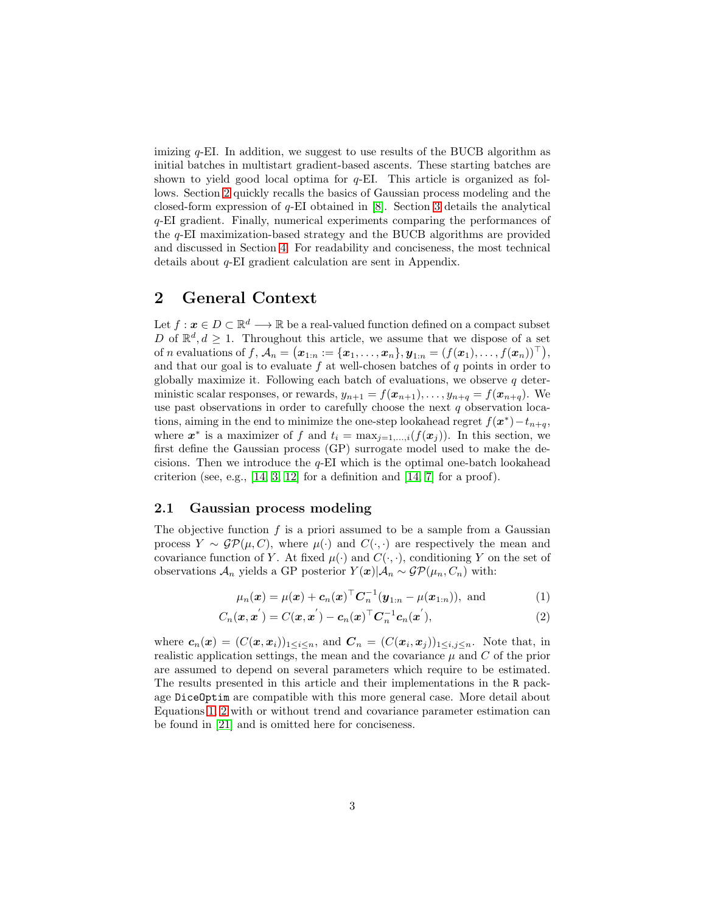imizing  $q$ -EI. In addition, we suggest to use results of the BUCB algorithm as initial batches in multistart gradient-based ascents. These starting batches are shown to yield good local optima for  $q$ -EI. This article is organized as follows. Section [2](#page-2-0) quickly recalls the basics of Gaussian process modeling and the closed-form expression of q-EI obtained in [\[8\]](#page-11-6). Section [3](#page-3-0) details the analytical q-EI gradient. Finally, numerical experiments comparing the performances of the q-EI maximization-based strategy and the BUCB algorithms are provided and discussed in Section [4.](#page-5-0) For readability and conciseness, the most technical details about q-EI gradient calculation are sent in Appendix.

## <span id="page-2-0"></span>2 General Context

Let  $f: \mathbf{x} \in D \subset \mathbb{R}^d \longrightarrow \mathbb{R}$  be a real-valued function defined on a compact subset D of  $\mathbb{R}^d, d \geq 1$ . Throughout this article, we assume that we dispose of a set of n evaluations of  $f$ ,  $\mathcal{A}_n = \big(\boldsymbol{x}_{1:n} := \{\boldsymbol{x}_1, \dots, \boldsymbol{x}_n\}, \boldsymbol{y}_{1:n} = (f(\boldsymbol{x}_1), \dots, f(\boldsymbol{x}_n))^\top\big),$ and that our goal is to evaluate  $f$  at well-chosen batches of  $q$  points in order to globally maximize it. Following each batch of evaluations, we observe  $q$  deterministic scalar responses, or rewards,  $y_{n+1} = f(x_{n+1}), \ldots, y_{n+q} = f(x_{n+q}).$  We use past observations in order to carefully choose the next  $q$  observation locations, aiming in the end to minimize the one-step lookahead regret  $f(\boldsymbol{x}^*) - t_{n+q}$ , where  $x^*$  is a maximizer of f and  $t_i = \max_{j=1,\ldots,i}(f(x_j))$ . In this section, we first define the Gaussian process (GP) surrogate model used to make the decisions. Then we introduce the  $q$ -EI which is the optimal one-batch lookahead criterion (see, e.g., [\[14,](#page-11-2) [3,](#page-11-7) [12\]](#page-11-8) for a definition and [14, [7\]](#page-11-5) for a proof).

#### 2.1 Gaussian process modeling

The objective function  $f$  is a priori assumed to be a sample from a Gaussian process  $Y \sim \mathcal{GP}(\mu, C)$ , where  $\mu(\cdot)$  and  $C(\cdot, \cdot)$  are respectively the mean and covariance function of Y. At fixed  $\mu(\cdot)$  and  $C(\cdot, \cdot)$ , conditioning Y on the set of observations  $\mathcal{A}_n$  yields a GP posterior  $Y(\boldsymbol{x})|\mathcal{A}_n \sim \mathcal{GP}(\mu_n, C_n)$  with:

<span id="page-2-2"></span><span id="page-2-1"></span>
$$
\mu_n(\bm{x}) = \mu(\bm{x}) + \bm{c}_n(\bm{x})^\top \bm{C}_n^{-1} (\bm{y}_{1:n} - \mu(\bm{x}_{1:n})), \text{ and } (1)
$$

$$
C_n(\mathbf{x}, \mathbf{x}') = C(\mathbf{x}, \mathbf{x}') - c_n(\mathbf{x})^\top C_n^{-1} c_n(\mathbf{x}'),
$$
\n(2)

where  $c_n(x) = (C(x, x_i))_{1 \leq i \leq n}$ , and  $C_n = (C(x_i, x_j))_{1 \leq i,j \leq n}$ . Note that, in realistic application settings, the mean and the covariance  $\mu$  and  $C$  of the prior are assumed to depend on several parameters which require to be estimated. The results presented in this article and their implementations in the R package DiceOptim are compatible with this more general case. More detail about Equations [1,](#page-2-1) [2](#page-2-2) with or without trend and covariance parameter estimation can be found in [\[21\]](#page-12-8) and is omitted here for conciseness.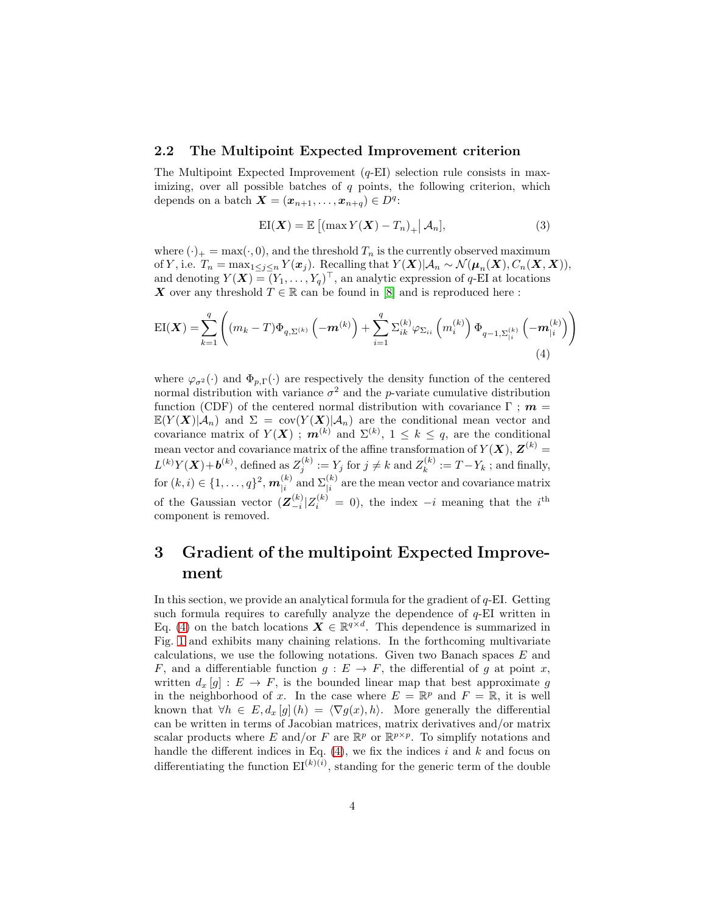#### 2.2 The Multipoint Expected Improvement criterion

The Multipoint Expected Improvement  $(q-EI)$  selection rule consists in maximizing, over all possible batches of  $q$  points, the following criterion, which depends on a batch  $\mathbf{X} = (\mathbf{x}_{n+1}, \dots, \mathbf{x}_{n+q}) \in D^q$ :

<span id="page-3-1"></span>
$$
EI(X) = \mathbb{E}\left[\left(\max Y(X) - T_n\right)_{+} \middle| \mathcal{A}_n\right],\tag{3}
$$

where  $(\cdot)_+ = \max(\cdot, 0)$ , and the threshold  $T_n$  is the currently observed maximum of Y, i.e.  $T_n = \max_{1 \leq j \leq n} Y(\boldsymbol{x}_j)$ . Recalling that  $Y(\boldsymbol{X}) | \mathcal{A}_n \sim \mathcal{N}(\boldsymbol{\mu}_n(\boldsymbol{X}), C_n(\boldsymbol{X}, \boldsymbol{X})),$ and denoting  $Y(\boldsymbol{X}) = (Y_1, \ldots, Y_q)^\top$ , an analytic expression of q-EI at locations X over any threshold  $T \in \mathbb{R}$  can be found in [\[8\]](#page-11-6) and is reproduced here:

$$
EI(\boldsymbol{X}) = \sum_{k=1}^{q} \left( (m_k - T) \Phi_{q, \Sigma^{(k)}} \left( -\boldsymbol{m}^{(k)} \right) + \sum_{i=1}^{q} \Sigma_{ik}^{(k)} \varphi_{\Sigma_{ii}} \left( m_i^{(k)} \right) \Phi_{q-1, \Sigma_{|i}^{(k)}} \left( -\boldsymbol{m}_{|i}^{(k)} \right) \right)
$$
\n(4)

where  $\varphi_{\sigma^2}(\cdot)$  and  $\Phi_{p,\Gamma}(\cdot)$  are respectively the density function of the centered normal distribution with variance  $\sigma^2$  and the *p*-variate cumulative distribution function (CDF) of the centered normal distribution with covariance  $\Gamma$ ;  $m =$  $\mathbb{E}(Y(\boldsymbol{X})|\mathcal{A}_n)$  and  $\Sigma = \text{cov}(Y(\boldsymbol{X})|\mathcal{A}_n)$  are the conditional mean vector and covariance matrix of  $Y(X)$ ;  $m^{(k)}$  and  $\Sigma^{(k)}$ ,  $1 \leq k \leq q$ , are the conditional mean vector and covariance matrix of the affine transformation of  $Y(\bm{X}), \bm{Z}^{(k)}$  =  $L^{(k)}Y(\boldsymbol{X}) + \boldsymbol{b}^{(k)}$ , defined as  $Z_j^{(k)} := Y_j$  for  $j \neq k$  and  $Z_k^{(k)} := T - Y_k$ ; and finally, for  $(k, i) \in \{1, \ldots, q\}^2$ ,  $\bm{m}_{|i}^{(k)}$  $\binom{k}{i}$  and  $\Sigma_{\mid i}^{(k)}$  are the mean vector and covariance matrix of the Gaussian vector  $(\mathbf{Z}_{-i}^{(k)})$  $\binom{k}{i}$   $\left| Z_i^{(k)} \right|$  = 0), the index  $-i$  meaning that the i<sup>th</sup> component is removed.

## <span id="page-3-0"></span>3 Gradient of the multipoint Expected Improvement

In this section, we provide an analytical formula for the gradient of  $q$ -EI. Getting such formula requires to carefully analyze the dependence of  $q$ -EI written in Eq. [\(4\)](#page-3-1) on the batch locations  $\mathbf{X} \in \mathbb{R}^{q \times d}$ . This dependence is summarized in Fig. [1](#page-4-0) and exhibits many chaining relations. In the forthcoming multivariate calculations, we use the following notations. Given two Banach spaces E and F, and a differentiable function  $g: E \to F$ , the differential of g at point x, written  $d_x[g] : E \to F$ , is the bounded linear map that best approximate g in the neighborhood of x. In the case where  $E = \mathbb{R}^p$  and  $F = \mathbb{R}$ , it is well known that  $\forall h \in E, d_x[g](h) = \langle \nabla g(x), h \rangle$ . More generally the differential can be written in terms of Jacobian matrices, matrix derivatives and/or matrix scalar products where E and/or F are  $\mathbb{R}^p$  or  $\mathbb{R}^{p \times p}$ . To simplify notations and handle the different indices in Eq.  $(4)$ , we fix the indices i and k and focus on differentiating the function  $\mathrm{EI}^{(k)(i)}$ , standing for the generic term of the double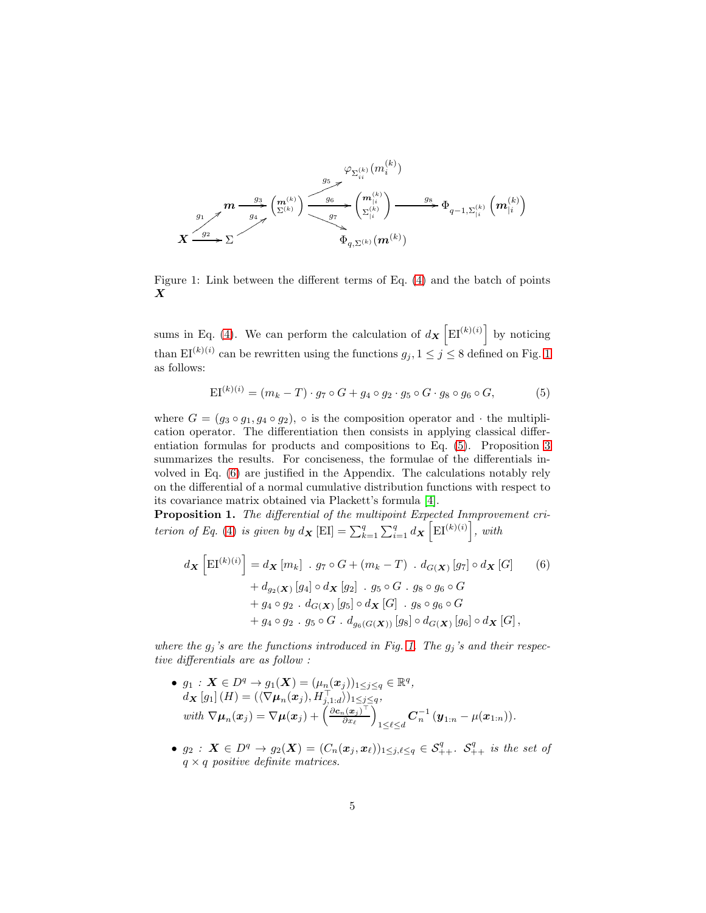<span id="page-4-0"></span>

Figure 1: Link between the different terms of Eq. [\(4\)](#page-3-1) and the batch of points X

sums in Eq. [\(4\)](#page-3-1). We can perform the calculation of  $d_{\mathbf{X}}\left[\mathrm{EI}^{(k)(i)}\right]$  by noticing than  $\text{EI}^{(k)(i)}$  can be rewritten using the functions  $g_j, 1 \leq j \leq 8$  $g_j, 1 \leq j \leq 8$  $g_j, 1 \leq j \leq 8$  defined on Fig. 1 as follows:

<span id="page-4-1"></span>
$$
EI^{(k)(i)} = (m_k - T) \cdot g_7 \circ G + g_4 \circ g_2 \cdot g_5 \circ G \cdot g_8 \circ g_6 \circ G, \tag{5}
$$

where  $G = (g_3 \circ g_1, g_4 \circ g_2)$ ,  $\circ$  is the composition operator and  $\cdot$  the multiplication operator. The differentiation then consists in applying classical differentiation formulas for products and compositions to Eq. [\(5\)](#page-4-1). Proposition [3](#page-4-1) summarizes the results. For conciseness, the formulae of the differentials involved in Eq. [\(6\)](#page-4-2) are justified in the Appendix. The calculations notably rely on the differential of a normal cumulative distribution functions with respect to its covariance matrix obtained via Plackett's formula [\[4\]](#page-11-9).

Proposition 1. The differential of the multipoint Expected Inmprovement cri-terion of Eq. [\(4\)](#page-3-1) is given by  $d_{\mathbf{X}}[\text{EI}] = \sum_{k=1}^{q} \sum_{i=1}^{q} d_{\mathbf{X}}[\text{EI}^{(k)(i)}],$  with

<span id="page-4-2"></span>
$$
d\mathbf{x} \left[ \mathrm{EI}^{(k)(i)} \right] = d\mathbf{x} \left[ m_k \right] \cdot g_7 \circ G + (m_k - T) \cdot d_{G(\mathbf{X})} \left[ g_7 \right] \circ d\mathbf{x} \left[ G \right] \qquad (6)
$$
  
+  $d_{g_2(\mathbf{X})} \left[ g_4 \right] \circ d\mathbf{x} \left[ g_2 \right] \cdot g_5 \circ G \cdot g_8 \circ g_6 \circ G$   
+  $g_4 \circ g_2 \cdot d_{G(\mathbf{X})} \left[ g_5 \right] \circ d\mathbf{x} \left[ G \right] \cdot g_8 \circ g_6 \circ G$   
+  $g_4 \circ g_2 \cdot g_5 \circ G \cdot d_{g_6(G(\mathbf{X}))} \left[ g_8 \right] \circ d_{G(\mathbf{X})} \left[ g_6 \right] \circ d\mathbf{x} \left[ G \right],$ 

where the  $g_j$ 's are the functions introduced in Fig. [1.](#page-4-0) The  $g_j$ 's and their respective differentials are as follow :

• 
$$
g_1: \mathbf{X} \in D^q \to g_1(\mathbf{X}) = (\mu_n(\mathbf{x}_j))_{1 \leq j \leq q} \in \mathbb{R}^q
$$
,  
\n $d_{\mathbf{X}}[g_1](H) = (\langle \nabla \mu_n(\mathbf{x}_j), H_{j,1:d}^\top \rangle)_{1 \leq j \leq q}$ ,  
\nwith  $\nabla \mu_n(\mathbf{x}_j) = \nabla \mu(\mathbf{x}_j) + \left( \frac{\partial c_n(\mathbf{x}_j)^\top}{\partial \mathbf{x}_\ell} \right)_{1 \leq \ell \leq d} \mathbf{C}_n^{-1} (\mathbf{y}_{1:n} - \mu(\mathbf{x}_{1:n}))$ .

•  $g_2: X \in D^q \to g_2(X) = (C_n(\bm{x}_j, \bm{x}_\ell))_{1 \leq j,\ell \leq q} \in S^q_{++}$ .  $S^q_{++}$  is the set of  $q \times q$  positive definite matrices.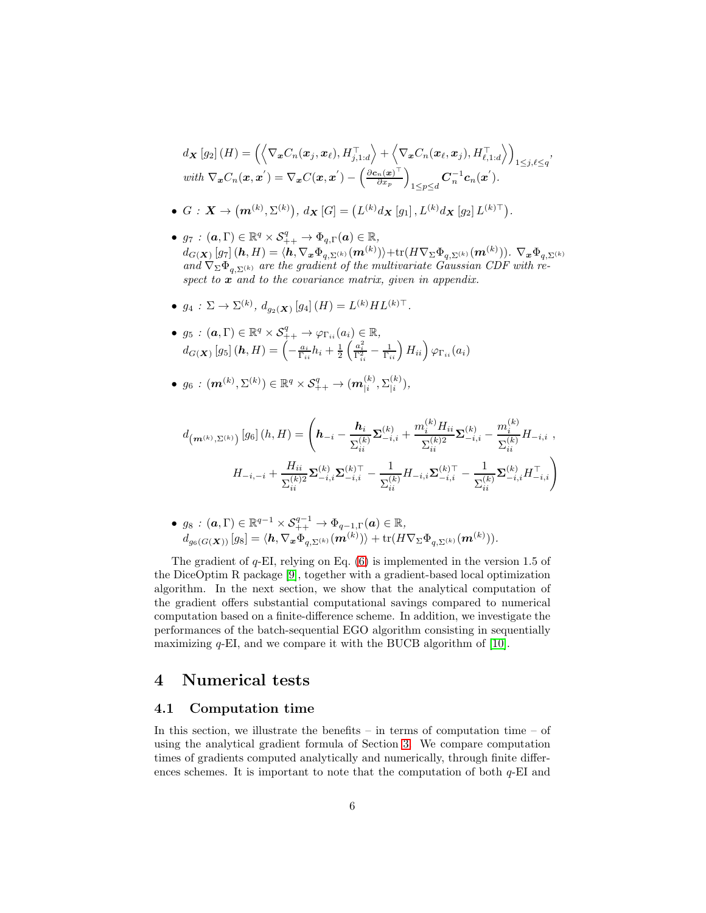$$
d_{\mathbf{X}}[g_2](H) = \left( \left\langle \nabla_{\mathbf{x}} C_n(\mathbf{x}_j, \mathbf{x}_\ell), H_{j,1:d}^\top \right\rangle + \left\langle \nabla_{\mathbf{x}} C_n(\mathbf{x}_\ell, \mathbf{x}_j), H_{\ell,1:d}^\top \right\rangle \right)_{1 \leq j,\ell \leq q},
$$
  
with  $\nabla_{\mathbf{x}} C_n(\mathbf{x}, \mathbf{x}') = \nabla_{\mathbf{x}} C(\mathbf{x}, \mathbf{x}') - \left( \frac{\partial \mathbf{c}_n(\mathbf{x})^\top}{\partial x_p} \right)_{1 \leq p \leq d} \mathbf{C}_n^{-1} \mathbf{c}_n(\mathbf{x}').$ 

- $\bullet \ \ G \,:\, \boldsymbol{X} \rightarrow \big(\boldsymbol{m}^{(k)},\Sigma^{(k)}\big),\ d_{\boldsymbol{X}}\left[G\right]=\big(L^{(k)}d_{\boldsymbol{X}}\left[g_{1}\right],L^{(k)}d_{\boldsymbol{X}}\left[g_{2}\right]L^{(k)\top}\big).$
- $g_7 : (\boldsymbol{a}, \Gamma) \in \mathbb{R}^q \times S^q_{++} \to \Phi_{q,\Gamma}(\boldsymbol{a}) \in \mathbb{R}$ ,  $d_{G(\boldsymbol{X})}\left[g_{7}\right](\boldsymbol{h},H)=\langle\boldsymbol{h},\nabla_{\boldsymbol{x}}\Phi_{q,\Sigma^{(k)}}(\boldsymbol{m}^{(k)})\rangle+\text{tr}(H\nabla_{\Sigma}\Phi_{q,\Sigma^{(k)}}(\boldsymbol{m}^{(k)})).\ \nabla_{\boldsymbol{x}}\Phi_{q,\Sigma^{(k)}}$ and  $\nabla_{\Sigma} \Phi_{q, \Sigma^{(k)}}$  are the gradient of the multivariate Gaussian CDF with respect to  $x$  and to the covariance matrix, given in appendix.
- $g_4: \Sigma \to \Sigma^{(k)}, d_{g_2(X)}[g_4](H) = L^{(k)}HL^{(k)\top}.$
- $g_5: (\boldsymbol{a},\Gamma) \in \mathbb{R}^q \times \mathcal{S}_{++}^q \rightarrow \varphi_{\Gamma_{ii}}(a_i) \in \mathbb{R},$  $d_{G(\boldsymbol{X})}\left[ g_5\right](\boldsymbol{h}, H) = \left(-\frac{a_i}{\Gamma_{ii}}h_i + \frac{1}{2}\left(\frac{a_i^2}{\Gamma_{ii}^2} - \frac{1}{\Gamma_{ii}}\right)H_{ii}\right)\varphi_{\Gamma_{ii}}(a_i)$

• 
$$
g_6: (\mathbf{m}^{(k)}, \Sigma^{(k)}) \in \mathbb{R}^q \times \mathcal{S}_{++}^q \to (\mathbf{m}_{|i}^{(k)}, \Sigma_{|i}^{(k)}),
$$

$$
d_{\left(\mathbf{m}^{(k)},\Sigma^{(k)}\right)}\left[g_6\right](h,H) = \left(\mathbf{h}_{-i} - \frac{\mathbf{h}_i}{\Sigma_{ii}^{(k)}}\Sigma_{-i,i}^{(k)} + \frac{m_i^{(k)}H_{ii}}{\Sigma_{ii}^{(k)2}}\Sigma_{-i,i}^{(k)} - \frac{m_i^{(k)}}{\Sigma_{ii}^{(k)}}H_{-i,i} ,\right.\newline H_{-i,-i} + \frac{H_{ii}}{\Sigma_{ii}^{(k)2}}\Sigma_{-i,i}^{(k)}\Sigma_{-i,i}^{(k)\top} - \frac{1}{\Sigma_{ii}^{(k)}}H_{-i,i}\Sigma_{-i,i}^{(k)\top} - \frac{1}{\Sigma_{ii}^{(k)}}\Sigma_{-i,i}^{(k)}H_{-i,i}^\top\right)
$$

• 
$$
g_8
$$
 :  $(\mathbf{a}, \Gamma) \in \mathbb{R}^{q-1} \times \mathcal{S}_{++}^{q-1} \to \Phi_{q-1,\Gamma}(\mathbf{a}) \in \mathbb{R}$ ,  
\n $d_{g_6(G(\mathbf{X}))}[g_8] = \langle \mathbf{h}, \nabla_{\mathbf{x}} \Phi_{q, \Sigma^{(k)}}(\mathbf{m}^{(k)}) \rangle + \text{tr}(H\nabla_{\Sigma} \Phi_{q, \Sigma^{(k)}}(\mathbf{m}^{(k)})).$ 

The gradient of  $q$ -EI, relying on Eq.  $(6)$  is implemented in the version 1.5 of the DiceOptim R package [\[9\]](#page-11-10), together with a gradient-based local optimization algorithm. In the next section, we show that the analytical computation of the gradient offers substantial computational savings compared to numerical computation based on a finite-difference scheme. In addition, we investigate the performances of the batch-sequential EGO algorithm consisting in sequentially maximizing  $q$ -EI, and we compare it with the BUCB algorithm of [\[10\]](#page-11-4).

## <span id="page-5-0"></span>4 Numerical tests

#### 4.1 Computation time

In this section, we illustrate the benefits – in terms of computation time – of using the analytical gradient formula of Section [3.](#page-3-0) We compare computation times of gradients computed analytically and numerically, through finite differences schemes. It is important to note that the computation of both  $q$ -EI and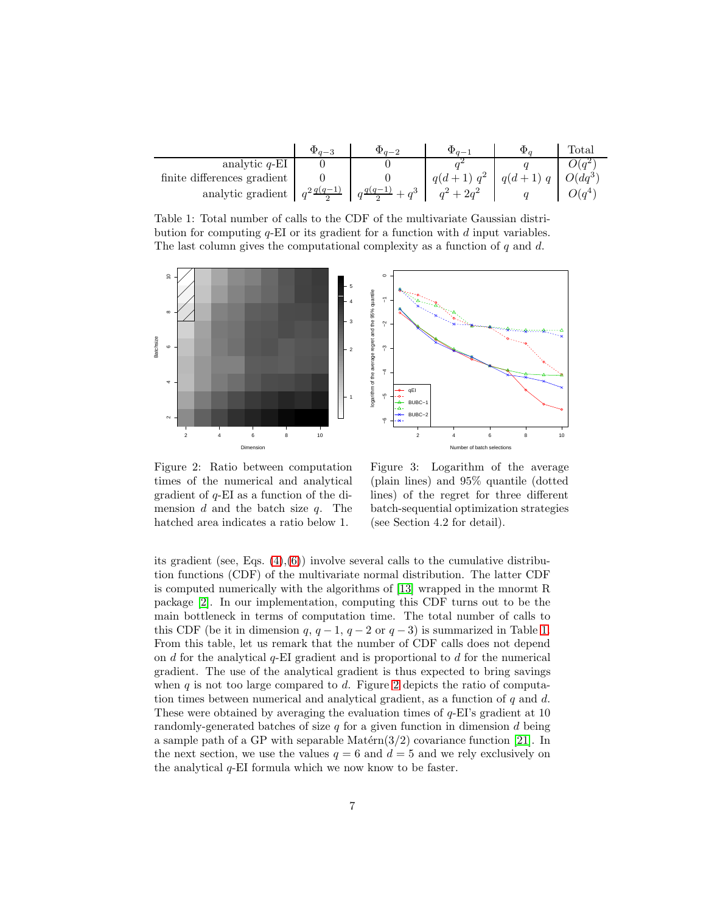<span id="page-6-0"></span>

|                             | $\Psi_{q-\lambda}$     | $a -$     |         | $_{\rm Total}$     |
|-----------------------------|------------------------|-----------|---------|--------------------|
| analytic $q$ -EI            |                        |           |         | $\chi(q^2)$        |
| finite differences gradient |                        |           | $a(d +$ | $O(dq^3)$          |
| analytic gradient           | $q^2 \frac{q(q-1)}{2}$ | $+2q^{2}$ |         | $\mathcal{H}(q^4)$ |

Table 1: Total number of calls to the CDF of the multivariate Gaussian distribution for computing  $q$ -EI or its gradient for a function with  $d$  input variables. The last column gives the computational complexity as a function of  $q$  and  $d$ .

<span id="page-6-1"></span>

Figure 2: Ratio between computation times of the numerical and analytical gradient of q-EI as a function of the dimension  $d$  and the batch size  $q$ . The hatched area indicates a ratio below 1.

Figure 3: Logarithm of the average (plain lines) and 95% quantile (dotted lines) of the regret for three different batch-sequential optimization strategies (see Section 4.2 for detail).

its gradient (see, Eqs.  $(4)$ , $(6)$ ) involve several calls to the cumulative distribution functions (CDF) of the multivariate normal distribution. The latter CDF is computed numerically with the algorithms of [\[13\]](#page-11-11) wrapped in the mnormt R package [\[2\]](#page-10-1). In our implementation, computing this CDF turns out to be the main bottleneck in terms of computation time. The total number of calls to this CDF (be it in dimension  $q, q-1, q-2$  or  $q-3$ ) is summarized in Table [1.](#page-6-0) From this table, let us remark that the number of CDF calls does not depend on d for the analytical  $q$ -EI gradient and is proportional to d for the numerical gradient. The use of the analytical gradient is thus expected to bring savings when  $q$  is not too large compared to  $d$ . Figure [2](#page-6-1) depicts the ratio of computation times between numerical and analytical gradient, as a function of  $q$  and  $d$ . These were obtained by averaging the evaluation times of  $q$ -EI's gradient at 10 randomly-generated batches of size  $q$  for a given function in dimension  $d$  being a sample path of a GP with separable Matérn $(3/2)$  covariance function [\[21\]](#page-12-8). In the next section, we use the values  $q = 6$  and  $d = 5$  and we rely exclusively on the analytical  $q$ -EI formula which we now know to be faster.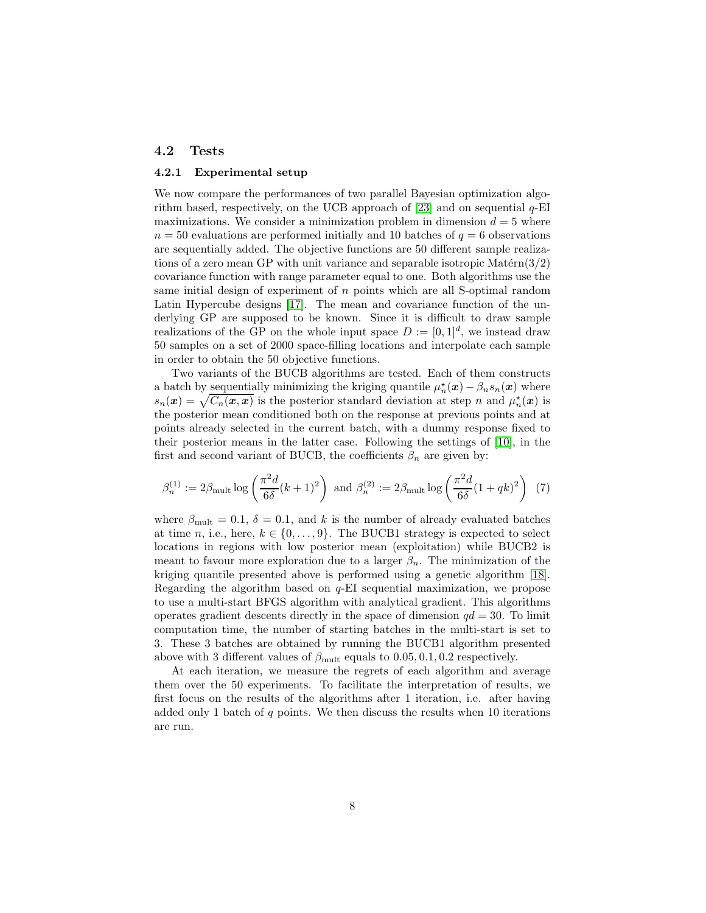#### 4.2 Tests

#### 4.2.1 Experimental setup

We now compare the performances of two parallel Bayesian optimization algorithm based, respectively, on the UCB approach of  $[23]$  and on sequential  $q$ -EI maximizations. We consider a minimization problem in dimension  $d = 5$  where  $n = 50$  evaluations are performed initially and 10 batches of  $q = 6$  observations are sequentially added. The objective functions are 50 different sample realizations of a zero mean GP with unit variance and separable isotropic Matérn $(3/2)$ covariance function with range parameter equal to one. Both algorithms use the same initial design of experiment of  $n$  points which are all S-optimal random Latin Hypercube designs [\[17\]](#page-12-9). The mean and covariance function of the underlying GP are supposed to be known. Since it is difficult to draw sample realizations of the GP on the whole input space  $D := [0, 1]^d$ , we instead draw 50 samples on a set of 2000 space-filling locations and interpolate each sample in order to obtain the 50 objective functions.

Two variants of the BUCB algorithms are tested. Each of them constructs a batch by <u>sequentially</u> minimizing the kriging quantile  $\mu_n^{\star}(\bm{x}) - \beta_n s_n(\bm{x})$  where  $s_n(\mathbf{x}) = \sqrt{C_n(\mathbf{x}, \mathbf{x})}$  is the posterior standard deviation at step n and  $\mu_n^{\star}(\mathbf{x})$  is the posterior mean conditioned both on the response at previous points and at points already selected in the current batch, with a dummy response fixed to their posterior means in the latter case. Following the settings of [\[10\]](#page-11-4), in the first and second variant of BUCB, the coefficients  $\beta_n$  are given by:

$$
\beta_n^{(1)} := 2\beta_{\text{mult}} \log \left( \frac{\pi^2 d}{6\delta} (k+1)^2 \right) \text{ and } \beta_n^{(2)} := 2\beta_{\text{mult}} \log \left( \frac{\pi^2 d}{6\delta} (1+qk)^2 \right) \tag{7}
$$

where  $\beta_{\text{mult}} = 0.1, \delta = 0.1$ , and k is the number of already evaluated batches at time n, i.e., here,  $k \in \{0, \ldots, 9\}$ . The BUCB1 strategy is expected to select locations in regions with low posterior mean (exploitation) while BUCB2 is meant to favour more exploration due to a larger  $\beta_n$ . The minimization of the kriging quantile presented above is performed using a genetic algorithm [\[18\]](#page-12-10). Regarding the algorithm based on  $q$ -EI sequential maximization, we propose to use a multi-start BFGS algorithm with analytical gradient. This algorithms operates gradient descents directly in the space of dimension  $qd = 30$ . To limit computation time, the number of starting batches in the multi-start is set to 3. These 3 batches are obtained by running the BUCB1 algorithm presented above with 3 different values of  $\beta_{\text{mult}}$  equals to 0.05, 0.1, 0.2 respectively.

At each iteration, we measure the regrets of each algorithm and average them over the 50 experiments. To facilitate the interpretation of results, we first focus on the results of the algorithms after 1 iteration, i.e. after having added only 1 batch of  $q$  points. We then discuss the results when 10 iterations are run.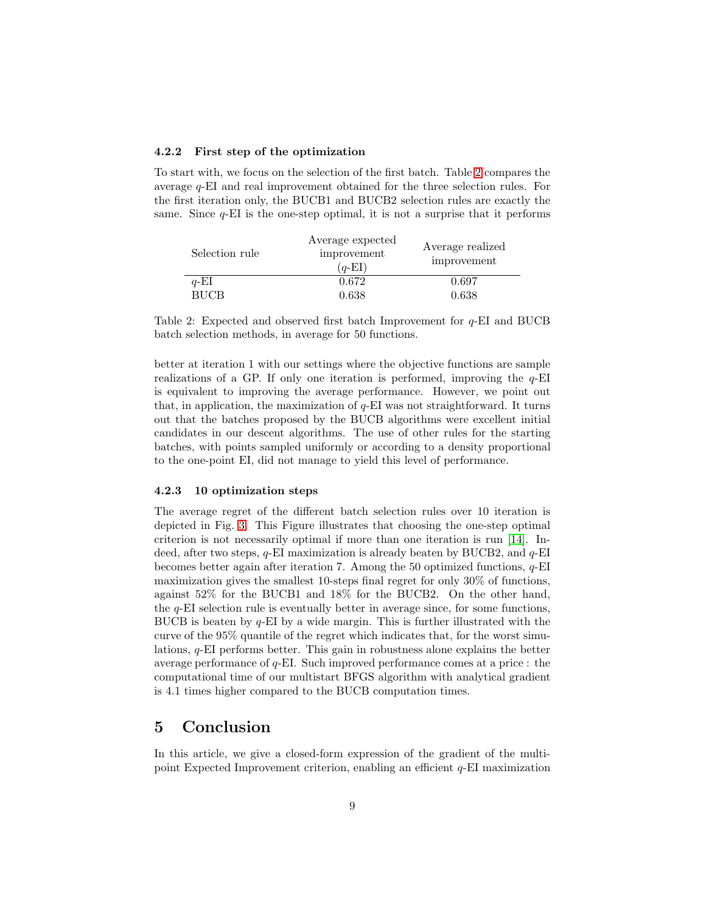#### 4.2.2 First step of the optimization

To start with, we focus on the selection of the first batch. Table [2](#page-8-0) compares the average q-EI and real improvement obtained for the three selection rules. For the first iteration only, the BUCB1 and BUCB2 selection rules are exactly the same. Since  $q$ -EI is the one-step optimal, it is not a surprise that it performs

<span id="page-8-0"></span>

| Selection rule | Average expected<br>improvement<br>$(q-EI)$ | Average realized<br>improvement |
|----------------|---------------------------------------------|---------------------------------|
| $q$ -EI        | 0.672                                       | 0.697                           |
| <b>RHCR</b>    | 0.638                                       | 0.638                           |

Table 2: Expected and observed first batch Improvement for  $q$ -EI and BUCB batch selection methods, in average for 50 functions.

better at iteration 1 with our settings where the objective functions are sample realizations of a GP. If only one iteration is performed, improving the  $q$ -EI is equivalent to improving the average performance. However, we point out that, in application, the maximization of  $q$ -EI was not straightforward. It turns out that the batches proposed by the BUCB algorithms were excellent initial candidates in our descent algorithms. The use of other rules for the starting batches, with points sampled uniformly or according to a density proportional to the one-point EI, did not manage to yield this level of performance.

#### 4.2.3 10 optimization steps

The average regret of the different batch selection rules over 10 iteration is depicted in Fig. [3.](#page-6-1) This Figure illustrates that choosing the one-step optimal criterion is not necessarily optimal if more than one iteration is run [\[14\]](#page-11-2). Indeed, after two steps,  $q$ -EI maximization is already beaten by BUCB2, and  $q$ -EI becomes better again after iteration 7. Among the 50 optimized functions,  $q$ -EI maximization gives the smallest 10-steps final regret for only 30% of functions, against 52% for the BUCB1 and 18% for the BUCB2. On the other hand, the q-EI selection rule is eventually better in average since, for some functions, BUCB is beaten by q-EI by a wide margin. This is further illustrated with the curve of the 95% quantile of the regret which indicates that, for the worst simulations, q-EI performs better. This gain in robustness alone explains the better average performance of q-EI. Such improved performance comes at a price : the computational time of our multistart BFGS algorithm with analytical gradient is 4.1 times higher compared to the BUCB computation times.

### 5 Conclusion

In this article, we give a closed-form expression of the gradient of the multipoint Expected Improvement criterion, enabling an efficient  $q$ -EI maximization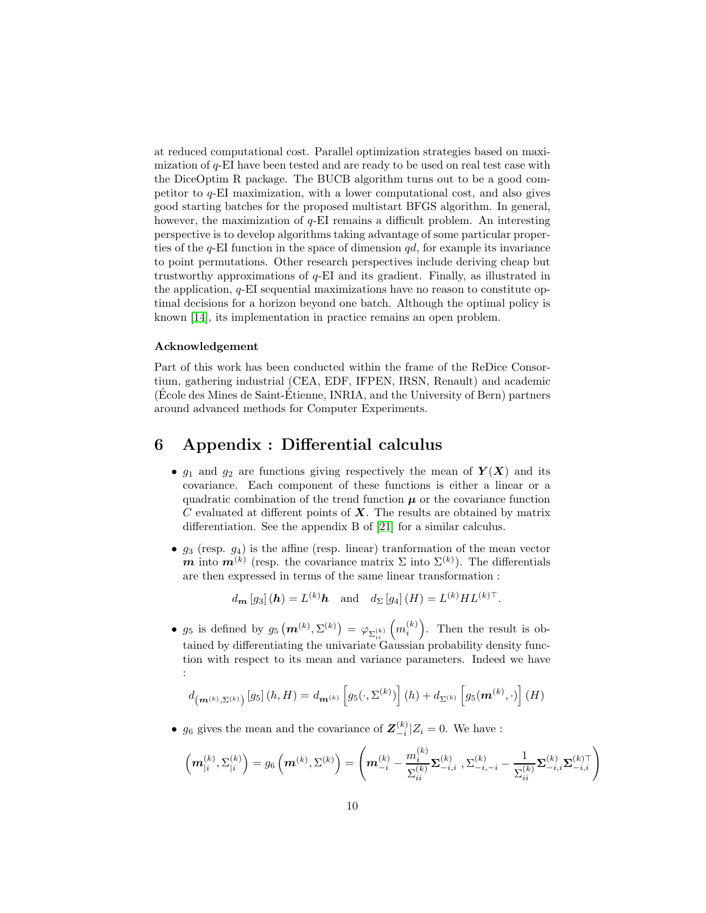at reduced computational cost. Parallel optimization strategies based on maximization of q-EI have been tested and are ready to be used on real test case with the DiceOptim R package. The BUCB algorithm turns out to be a good competitor to  $q$ -EI maximization, with a lower computational cost, and also gives good starting batches for the proposed multistart BFGS algorithm. In general, however, the maximization of  $q$ -EI remains a difficult problem. An interesting perspective is to develop algorithms taking advantage of some particular properties of the  $q$ -EI function in the space of dimension  $qd$ , for example its invariance to point permutations. Other research perspectives include deriving cheap but trustworthy approximations of q-EI and its gradient. Finally, as illustrated in the application,  $q$ -EI sequential maximizations have no reason to constitute optimal decisions for a horizon beyond one batch. Although the optimal policy is known [\[14\]](#page-11-2), its implementation in practice remains an open problem.

#### Acknowledgement

Part of this work has been conducted within the frame of the ReDice Consortium, gathering industrial (CEA, EDF, IFPEN, IRSN, Renault) and academic (Ecole des Mines de Saint-Etienne, INRIA, and the University of Bern) partners around advanced methods for Computer Experiments.

## 6 Appendix : Differential calculus

- $g_1$  and  $g_2$  are functions giving respectively the mean of  $Y(X)$  and its covariance. Each component of these functions is either a linear or a quadratic combination of the trend function  $\mu$  or the covariance function  $C$  evaluated at different points of  $X$ . The results are obtained by matrix differentiation. See the appendix B of [\[21\]](#page-12-8) for a similar calculus.
- $g_3$  (resp.  $g_4$ ) is the affine (resp. linear) tranformation of the mean vector m into  $m^{(k)}$  (resp. the covariance matrix  $\Sigma$  into  $\Sigma^{(k)}$ ). The differentials are then expressed in terms of the same linear transformation :

$$
d_{\mathbf{m}}[g_3](\mathbf{h}) = L^{(k)}\mathbf{h}
$$
 and  $d_{\Sigma}[g_4](H) = L^{(k)}HL^{(k)\top}$ .

•  $g_5$  is defined by  $g_5(m^{(k)}, \Sigma^{(k)}) = \varphi_{\Sigma_{ii}^{(k)}}(m_i^{(k)})$ . Then the result is obtained by differentiating the univariate Gaussian probability density function with respect to its mean and variance parameters. Indeed we have :

$$
d_{\left(\mathbf{m}^{(k)},\Sigma^{(k)}\right)}\left[g_5\right](h,H) = d_{\mathbf{m}^{(k)}}\left[g_5(\cdot,\Sigma^{(k)})\right](h) + d_{\Sigma^{(k)}}\left[g_5(\mathbf{m}^{(k)},\cdot)\right](H)
$$

•  $g_6$  gives the mean and the covariance of  $\mathbf{Z}_{-i}^{(k)}|Z_i = 0$ . We have :

$$
\left(\boldsymbol{m}_{|i}^{(k)},\Sigma_{|i}^{(k)}\right)=g_{6}\left(\boldsymbol{m}^{(k)},\Sigma^{(k)}\right)=\left(\boldsymbol{m}_{-i}^{(k)}-\frac{m_{i}^{(k)}}{\Sigma_{ii}^{(k)}}\boldsymbol{\Sigma}_{-i,i}^{(k)}\;, \Sigma_{-i,-i}^{(k)}-\frac{1}{\Sigma_{ii}^{(k)}}\boldsymbol{\Sigma}_{-i,i}^{(k)}\boldsymbol{\Sigma}_{-i,i}^{(k)\top}\right)
$$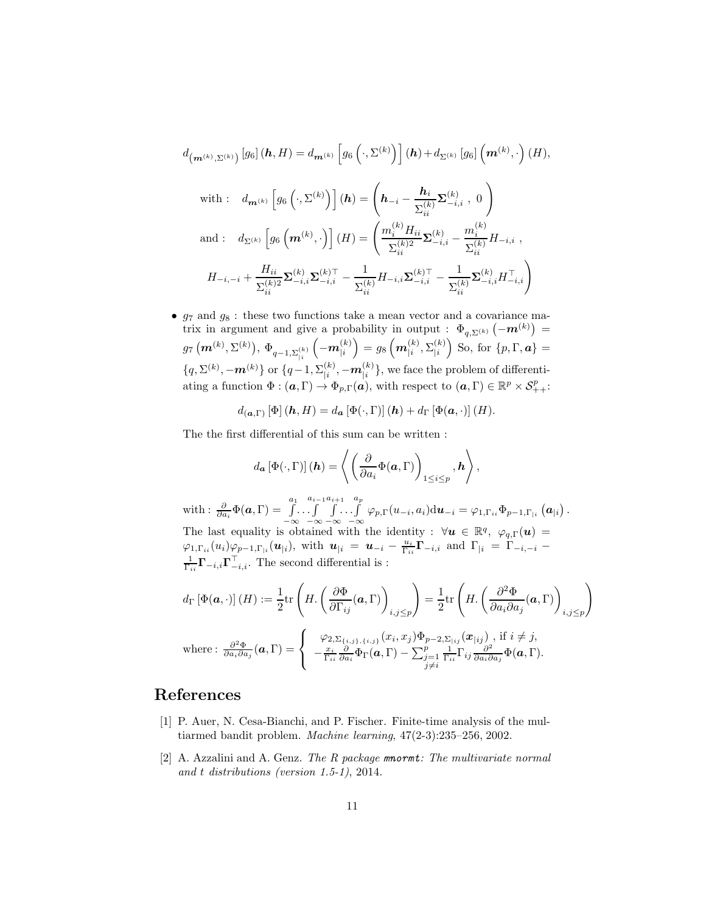$$
d_{\left(\mathbf{m}^{(k)},\Sigma^{(k)}\right)}\left[g_6\right](\mathbf{h},H) = d_{\mathbf{m}^{(k)}}\left[g_6\left(\cdot,\Sigma^{(k)}\right)\right](\mathbf{h}) + d_{\Sigma^{(k)}}\left[g_6\right]\left(\mathbf{m}^{(k)},\cdot\right)(H),
$$
\nwith :  $d_{\mathbf{m}^{(k)}}\left[g_6\left(\cdot,\Sigma^{(k)}\right)\right](\mathbf{h}) = \left(\mathbf{h}_{-i} - \frac{\mathbf{h}_i}{\Sigma_{ii}^{(k)}}\Sigma_{-i,i}^{(k)}, 0\right)$   
\nand :  $d_{\Sigma^{(k)}}\left[g_6\left(\mathbf{m}^{(k)},\cdot\right)\right](H) = \left(\frac{m_i^{(k)}H_{ii}}{\Sigma_{ii}^{(k)2}}\Sigma_{-i,i}^{(k)} - \frac{m_i^{(k)}}{\Sigma_{ii}^{(k)}}H_{-i,i},$   
\n $H_{-i,-i} + \frac{H_{ii}}{\Sigma_{ii}^{(k)2}}\Sigma_{-i,i}^{(k)}\Sigma_{-i,i}^{(k)} - \frac{1}{\Sigma_{ii}^{(k)}}H_{-i,i}\Sigma_{-i,i}^{(k)} - \frac{1}{\Sigma_{ii}^{(k)}}\Sigma_{-i,i}^{(k)}H_{-i,i}^{\top}\right)$ 

•  $g_7$  and  $g_8$ : these two functions take a mean vector and a covariance matrix in argument and give a probability in output :  $\Phi_{q,\Sigma^{(k)}}(-\boldsymbol{m}^{(k)})=$  $g_7\left(\boldsymbol{m}^{(k)},\Sigma^{(k)}\right)\!,\,\Phi_{q-1,\Sigma_{|i}^{(k)}}$  $\left(-\bm{m}_{1i}^{(k)}\right)$  $\binom{(k)}{|i} = g_8\left(\boldsymbol{m}_{|i}^{(k)}\right)$  $\frac{(k)}{|i},\Sigma_{|i}^{(k)}$  $\binom{(k)}{|i}$  So, for  $\{p,\Gamma,\boldsymbol{a}\}$  =  ${q, \Sigma^{(k)}, -m^{(k)}\}$  or  ${q-1, \Sigma^{(k)}_{1i}}$  $\binom{(k)}{|i}, -\bm{m}^{(k)}_{|i}$  $\binom{k}{i}$ , we face the problem of differentiating a function  $\Phi: (\boldsymbol{a}, \Gamma) \to \Phi_{p,\Gamma}(\boldsymbol{a}),$  with respect to  $(\boldsymbol{a}, \Gamma) \in \mathbb{R}^p \times \mathcal{S}_{++}^p$ :

$$
d_{(\mathbf{a},\Gamma)}\left[\Phi\right](\mathbf{h},H)=d_{\mathbf{a}}\left[\Phi(\cdot,\Gamma)\right](\mathbf{h})+d_{\Gamma}\left[\Phi(\mathbf{a},\cdot)\right](H).
$$

The the first differential of this sum can be written :

$$
d_{\boldsymbol{a}}\left[\Phi(\cdot,\Gamma)\right](\boldsymbol{h})=\left\langle \left(\frac{\partial}{\partial a_i}\Phi(\boldsymbol{a},\Gamma)\right)_{1\leq i\leq p},\boldsymbol{h}\right\rangle,
$$

with :  $\frac{\partial}{\partial a_i} \Phi(a, \Gamma) = \int_a^{a_1}$ −∞ . . .  $\int_0^{a_i-1}$ −∞  $\int$ . −∞ . . .  $\int_a^a$  $\cdot \int\limits_{-\infty}^{\infty} \varphi_{p,\Gamma}(u_{-i},a_i) \mathrm{d}u_{-i} = \varphi_{1,\Gamma_{ii}} \Phi_{p-1,\Gamma_{|i}} \left( \boldsymbol{a}_{|i} \right).$ The last equality is obtained with the identity :  $\forall u \in \mathbb{R}^q$ ,  $\varphi_{q,\Gamma}(u) =$  $\varphi_{1,\Gamma_{ii}}(u_i)\varphi_{p-1,\Gamma_{|i}}(\boldsymbol{u}_{|i}), \text{ with }\ \boldsymbol{u}_{|i} \ = \ \boldsymbol{u}_{-i} - \frac{u_i}{\Gamma_{ii}}\boldsymbol{\Gamma}_{-i,i} \text{ and } \ \Gamma_{|i} \ = \ \widetilde{\Gamma}_{-i,-i} \ - \frac{1}{\Gamma_{ii}}\mathcal{H}_{-i}$  $\frac{1}{\Gamma_{ii}} \mathbf{\Gamma}_{-i,i} \mathbf{\Gamma}_{-i,i}^{\top}$ . The second differential is :

$$
d_{\Gamma}\left[\Phi(\mathbf{a},\cdot)\right](H) := \frac{1}{2} \text{tr}\left(H, \left(\frac{\partial \Phi}{\partial \Gamma_{ij}}(\mathbf{a}, \Gamma)\right)_{i,j \leq p}\right) = \frac{1}{2} \text{tr}\left(H, \left(\frac{\partial^2 \Phi}{\partial a_i \partial a_j}(\mathbf{a}, \Gamma)\right)_{i,j \leq p}\right)
$$
  
where: 
$$
\frac{\partial^2 \Phi}{\partial a_i \partial a_j}(\mathbf{a}, \Gamma) = \begin{cases} \varphi_{2, \Sigma_{\{i,j\},\{i,j\}}}(x_i, x_j) \Phi_{p-2, \Sigma_{\{i\}}}(x_{|ij}) \text{, if } i \neq j, \\ -\frac{x_i}{\Gamma_{ii}} \frac{\partial}{\partial a_i} \Phi_{\Gamma}(\mathbf{a}, \Gamma) - \sum_{\substack{j=1 \ j \neq i}}^{p} \frac{1}{\Gamma_{ii}} \Gamma_{ij} \frac{\partial^2}{\partial a_i \partial a_j} \Phi(\mathbf{a}, \Gamma). \end{cases}
$$

## <span id="page-10-0"></span>References

- [1] P. Auer, N. Cesa-Bianchi, and P. Fischer. Finite-time analysis of the multiarmed bandit problem. Machine learning, 47(2-3):235–256, 2002.
- <span id="page-10-1"></span>[2] A. Azzalini and A. Genz. The R package mnormt: The multivariate normal and t distributions (version 1.5-1), 2014.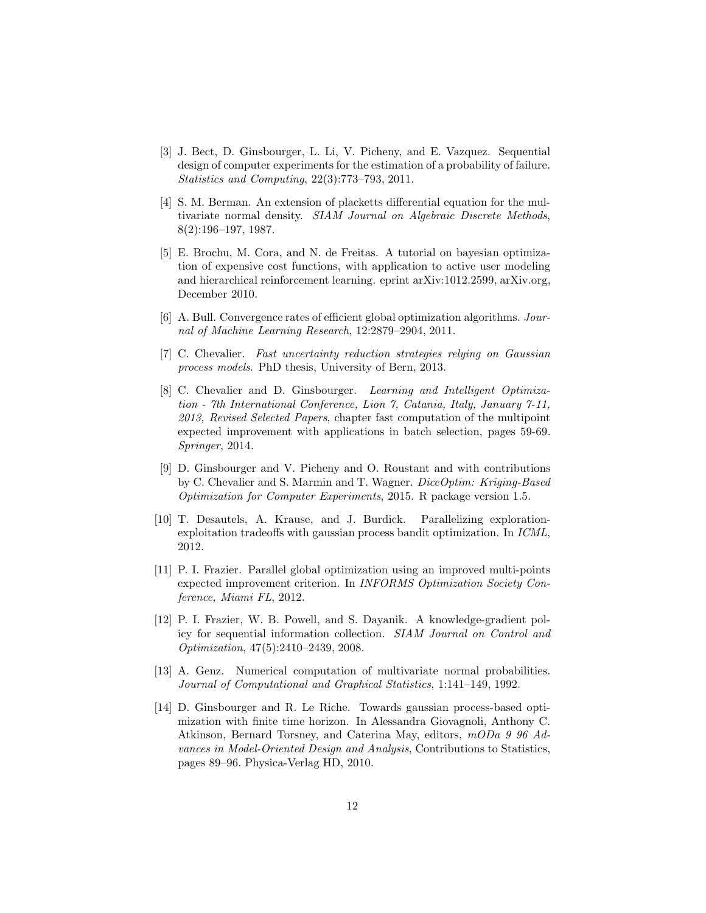- <span id="page-11-7"></span>[3] J. Bect, D. Ginsbourger, L. Li, V. Picheny, and E. Vazquez. Sequential design of computer experiments for the estimation of a probability of failure. Statistics and Computing, 22(3):773–793, 2011.
- <span id="page-11-9"></span>[4] S. M. Berman. An extension of placketts differential equation for the multivariate normal density. SIAM Journal on Algebraic Discrete Methods, 8(2):196–197, 1987.
- <span id="page-11-0"></span>[5] E. Brochu, M. Cora, and N. de Freitas. A tutorial on bayesian optimization of expensive cost functions, with application to active user modeling and hierarchical reinforcement learning. eprint arXiv:1012.2599, arXiv.org, December 2010.
- <span id="page-11-3"></span>[6] A. Bull. Convergence rates of efficient global optimization algorithms. Journal of Machine Learning Research, 12:2879–2904, 2011.
- <span id="page-11-6"></span><span id="page-11-5"></span>[7] C. Chevalier. Fast uncertainty reduction strategies relying on Gaussian process models. PhD thesis, University of Bern, 2013.
- [8] C. Chevalier and D. Ginsbourger. Learning and Intelligent Optimization - 7th International Conference, Lion 7, Catania, Italy, January 7-11, 2013, Revised Selected Papers, chapter fast computation of the multipoint expected improvement with applications in batch selection, pages 59-69. Springer, 2014.
- <span id="page-11-10"></span>[9] D. Ginsbourger and V. Picheny and O. Roustant and with contributions by C. Chevalier and S. Marmin and T. Wagner. DiceOptim: Kriging-Based Optimization for Computer Experiments, 2015. R package version 1.5.
- <span id="page-11-4"></span>[10] T. Desautels, A. Krause, and J. Burdick. Parallelizing explorationexploitation tradeoffs with gaussian process bandit optimization. In ICML, 2012.
- <span id="page-11-1"></span>[11] P. I. Frazier. Parallel global optimization using an improved multi-points expected improvement criterion. In INFORMS Optimization Society Conference, Miami FL, 2012.
- <span id="page-11-8"></span>[12] P. I. Frazier, W. B. Powell, and S. Dayanik. A knowledge-gradient policy for sequential information collection. SIAM Journal on Control and Optimization, 47(5):2410–2439, 2008.
- <span id="page-11-11"></span>[13] A. Genz. Numerical computation of multivariate normal probabilities. Journal of Computational and Graphical Statistics, 1:141–149, 1992.
- <span id="page-11-2"></span>[14] D. Ginsbourger and R. Le Riche. Towards gaussian process-based optimization with finite time horizon. In Alessandra Giovagnoli, Anthony C. Atkinson, Bernard Torsney, and Caterina May, editors, mODa 9 96 Advances in Model-Oriented Design and Analysis, Contributions to Statistics, pages 89–96. Physica-Verlag HD, 2010.